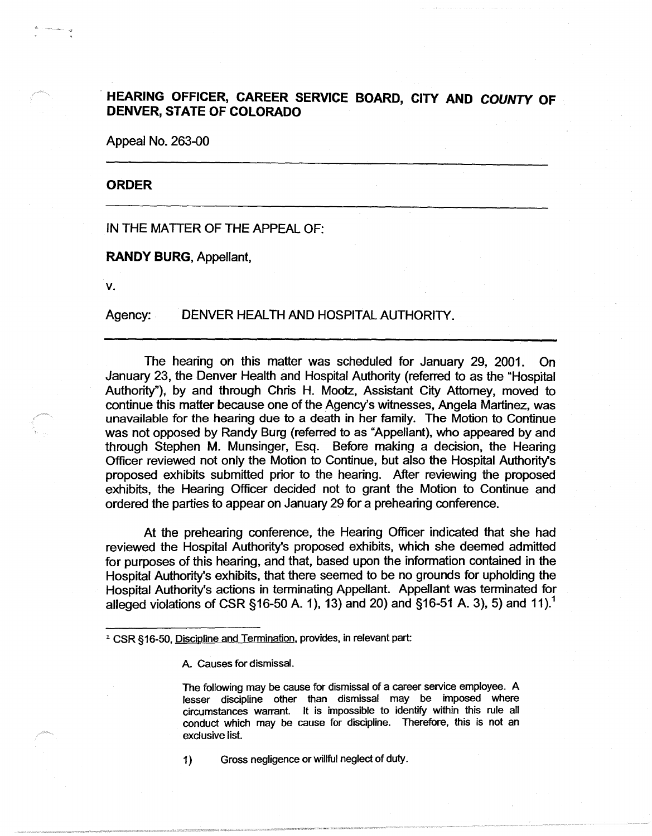## . **HEARING OFFICER, CAREER SERVICE BOARD, CITY AND COUNTY OF DENVER, STATE OF COLORADO**

Appeal No. 263-00

## **ORDER**

IN THE MATTER OF THE APPEAL OF:

**RANDY BURG,** Appellant,

**V.** 

Agency: DENVER HEALTH AND HOSPITAL AUTHORITY.

The hearing on this matter was scheduled for January 29, 2001. On January 23, the Denver Health and Hospital Authority (referred to as the "Hospital Authority"), by and through Chris H. Mootz, Assistant City Attorney, moved to continue this matter because one of the Agency's witnesses, Angela Martinez, was unavailable for the hearing due to a death in her family. The Motion to Continue was not opposed by Randy Burg (referred to as "Appellant), who appeared by and through Stephen M. Munsinger, Esq. Before making a decision, the Hearing Officer reviewed not only the Motion to Continue, but also the Hospital Authority's proposed exhibits submitted prior to the hearing. After reviewing the proposed exhibits, the Hearing Officer decided not to grant the Motion to Continue and ordered the parties to appear on January 29 for a prehearing conference.

At the prehearing conference, the Hearing Officer indicated that she had reviewed the Hospital Authority's proposed exhibits, which she deemed admitted for purposes of this hearing, and that, based upon the information contained in the Hospital Authority's exhibits, that there seemed to be no grounds for upholding the Hospital Authority's actions in terminating Appellant. Appellant was terminated for alleged violations of CSR §16-50 A. 1), 13) and 20) and §16-51 A. 3), 5) and 11).<sup>1</sup>

A. Causes for dismissal.

The following may be cause for dismissal of a career service employee. A lesser discipline other than dismissal may be imposed where circumstances warrant. It is impossible to identify within this rule all conduct which may be cause for discipline. Therefore, this is not an exclusive list.

1) Gross negligence or willful neglect of duty.

<sup>&</sup>lt;sup>1</sup> CSR §16-50, Discipline and Termination, provides, in relevant part: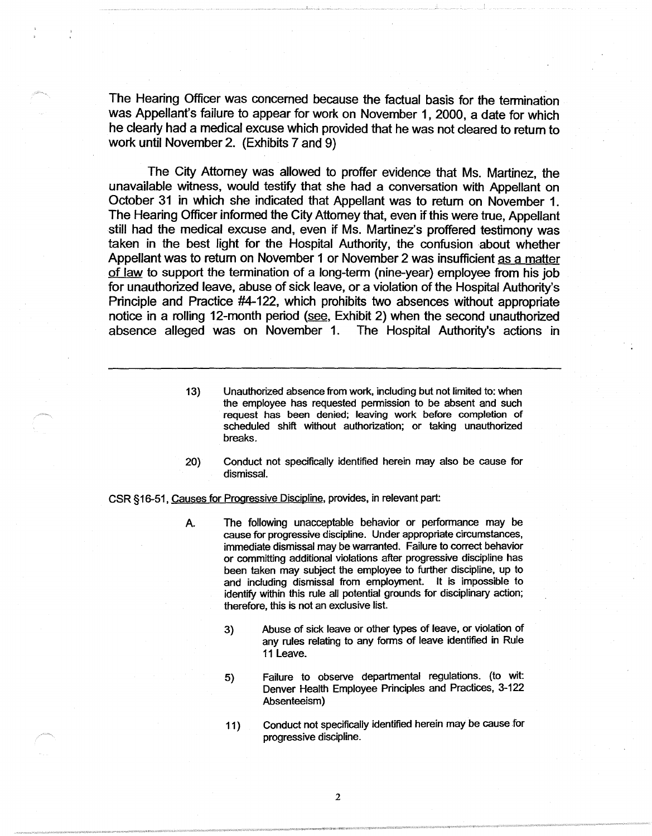The Hearing Officer was concerned because the factual basis for the tennination was Appellant's failure to appear for work on November 1, 2000, a date for which he clearly had a medical excuse which provided that he was not cleared to return to work until November 2. (Exhibits 7 and 9)

The City Attorney was allowed to proffer evidence that Ms. Martinez, the unavailable witness, would testify that she had a conversation with Appellant on October 31 in which she indicated that Appellant was to return on November 1. The Hearing Officer informed the City Attorney that, even if this were true, Appellant still had the medical excuse and, even if Ms. Martinez's proffered testimony was taken in the best light for the Hospital Authority, the confusion about whether Appellant was to return on November 1 or November 2 was insufficient as a matter of law to support the termination of a long-term (nine-year) employee from his job for unauthorized leave, abuse of sick leave, or a violation of the Hospital Authority's Principle and Practice #4-122, which prohibits two absences without appropriate notice in a rolling 12-month period (see, Exhibit 2) when the second unauthorized absence alleged was on November 1. The Hospital Authority's actions in

- 13) Unauthorized absence from work, including but not limited to: when the employee has requested permission to be absent and such request has been denied; leaving work before completion of scheduled shift without authorization; or taking unauthorized breaks.
- 20) Conduct not specifically identified herein may also be cause for dismissal.

CSR §16-51, Causes for Progressive Discipline, provides, in relevant part:

- A. The following unacceptable behavior or performance may be cause for progressive discipline. Under appropriate circumstances, immediate dismissal may be warranted. Failure to correct behavior or committing additional violations after progressive discipline has been taken may subject the employee to further discipline, up to and including dismissal from employment. It is impossible to identify within this rule all potential grounds for disciplinary action; therefore, this is not an exclusive list.
	- 3) Abuse of sick leave or other types of leave, or violation of any rules relating to any forms of leave identified in Rule 11 Leave.
	- 5) Failure to observe departmental regulations. {to wit: Denver Health Employee Principles and Practices, 3-122 Absenteeism)
	- 11) Conduct not specifically identified herein may be cause for progressive discipline.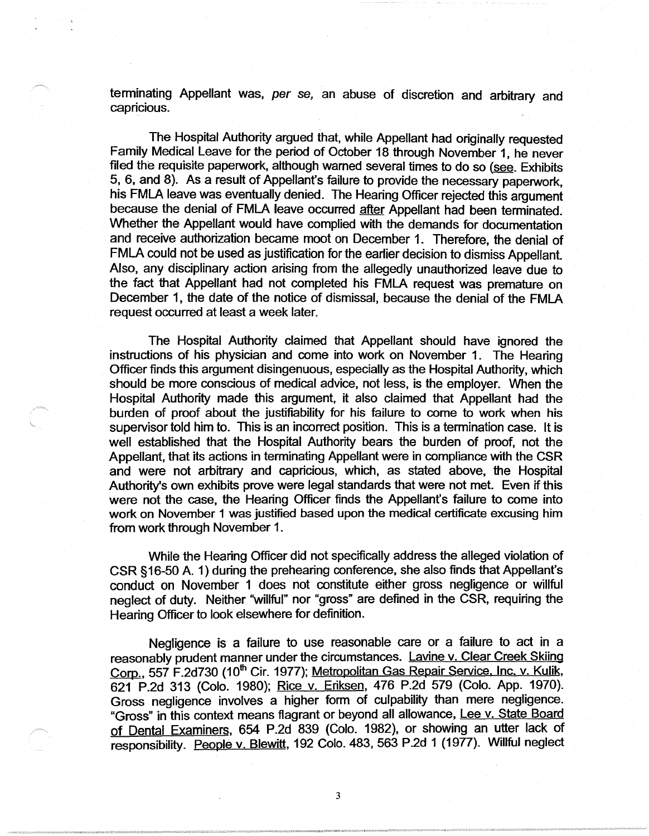terminating Appellant was, per se, an abuse of discretion and arbitrary and capricious.

The Hospital Authority argued that, while Appellant had originally requested Family Medical Leave for the period of October 18 through November 1, he never filed the requisite paperwork, although warned several times to do so (see. Exhibits 5, 6, and 8). As a result of Appellant's failure to provide the necessary paperwork, his FMLA leave was eventually denied. The Hearing Officer rejected this argument because the denial of FMLA leave occurred after Appellant had been terminated. Whether the Appellant would have complied with the demands for documentation and receive authorization became moot on December 1. Therefore, the denial of FMLA could not be used as justification for the earlier decision to dismiss Appellant. Also, any disciplinary action arising from the allegedly unauthorized leave due to the fact that Appellant had not completed his FMLA request was premature on December 1, the date of the notice of dismissal, because the denial of the FMLA request occurred at least a week later.

The Hospital Authority claimed that Appellant should have ignored the instructions of his physician and come into work on November 1. The Hearing Officer finds this argument disingenuous, especially as the Hospital Authority, which should be more conscious of medical advice, not less, is the employer. When the Hospital Authority made this argument, it also claimed that Appellant had the burden of proof about the justifiability for his failure to come to work when his supervisor told him to. This is an incorrect position. This is a termination case. It is well established that the Hospital Authority bears the burden of proof, not the Appellant, that its actions in terminating Appellant were in compliance with the CSR and were not arbitrary and capricious, which, as stated above, the Hospital Authority's own exhibits prove were legal standards that were not met. Even if this were not the case, the Hearing Officer finds the Appellant's failure to come into work on November 1 was justified based upon the medical certificate excusing him from work through November 1.

While the Hearing Officer did not specifically address the alleged violation of CSR § 16-50 A. 1) during the prehearing conference, she also finds that Appellant's conduct on November 1 does not constitute either gross negligence or willful neglect of duty. Neither ''willful" nor "gross" are defined in the CSR, requiring the Hearing Officer to look elsewhere for definition.

Negligence is a failure to use reasonable care or a failure to act in a reasonably prudent manner under the circumstances. Lavine v. Clear Creek Skiing Corp., 557 F.2d730 (10<sup>th</sup> Cir. 1977); Metropolitan Gas Repair Service, Inc. v. Kulik, 621 P.2d 313 (Colo. 1980); Rice v. Eriksen, 476 P.2d 579 (Colo. App. 1970). Gross negligence involves a higher form of culpability than mere negligence. "Gross" in this context means flagrant or beyond all allowance, Lee v. State Board of Dental Examiners, 654 P.2d 839 (Colo. 1982), or showing an utter lack of responsibility. People v. Blewitt, 192 Colo. 483, 563 P.2d 1 (1977). Willful neglect

3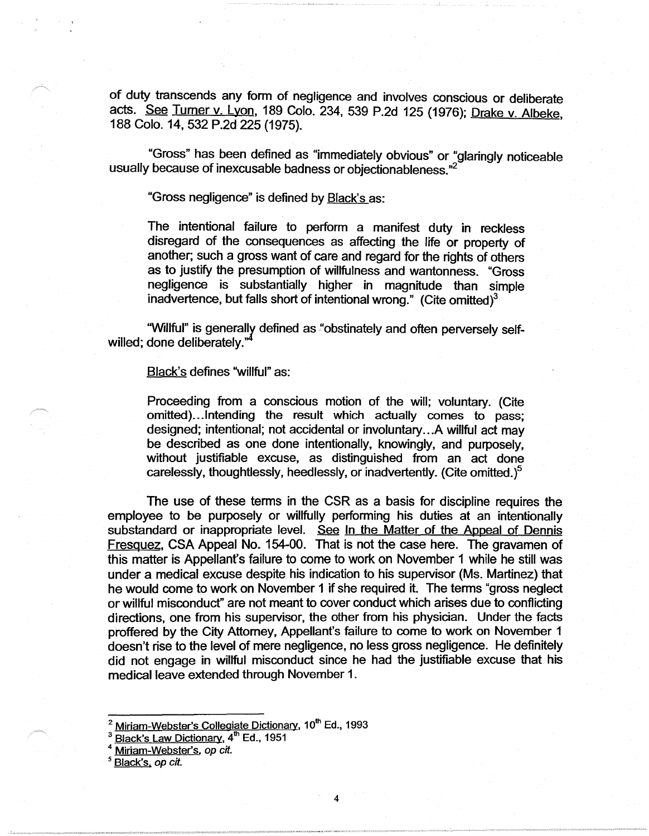of duty transcends any form of negligence and involves conscious or deliberate acts. See Turner v. Lyon, 189 Colo. 234, 539 P.2d 125 (1976); Drake v. Albeke, 188 Colo. 14, 532 P.2d 225 (1975).

"Gross" has been defined as "immediately obvious" or "glaringly noticeable usually because of inexcusable badness or objectionableness."

"Gross negligence" is defined by **Black's as:** 

The intentional failure to perform a manifest duty in reckless disregard of the consequences as affecting the life or property of another; such a gross want of care and regard for the rights of others as to justify the presumption of willfulness and wantonness. "Gross negligence is substantially higher in magnitude than simple inadvertence, but falls short of intentional wrong." (Cite omitted) $3$ 

"Willful" is generally defined as "obstinately and often perversely selfwilled; done deliberately."

## Black's defines "willful" as:

Proceeding from a conscious motion of the will; voluntary. (Cite omitted)... Intending the result which actually comes to pass; designed; intentional; not accidental or involuntary ... A willful act may be described as one done intentionally, knowingly, and purposely, without justifiable excuse, as distinguished from an act done carelessly, thoughtlessly, heedlessly, or inadvertently. (Cite omitted.)<sup>5</sup>

The use of these terms in the CSR as a basis for discipline requires the employee to be purposely or willfully performing his duties at an intentionally substandard or inappropriate level. See In the Matter of the Appeal of Dennis Fresquez, CSA Appeal No. 154-00. That is not the case here. The gravamen of this matter is Appellant's failure to come to work on November 1 while he still was under a medical excuse despite his indication to his supervisor (Ms. Martinez) that he would come to work on November 1 if she required it. The terms "gross neglect or willful misconduct" are not meant to cover conduct which arises due to conflicting directions, one from his supervisor, the other from his physician. Under the facts proffered by the City Attorney, Appellant's failure to come to work on November 1 doesn't rise to the level of mere negligence, no less gross negligence. He definitely did not engage in willful misconduct since he had the justifiable excuse that his medical leave extended through November 1.

- <sup>2</sup> Miriam-Webster's Collegiate Dictionary, 10<sup>th</sup> Ed., 1993
- Black's Law Dictionary, 4<sup>th</sup> Ed., 1951

Miriam-Webster's, op cit.

<sup>&</sup>lt;sup>5</sup> Black's, op cit.